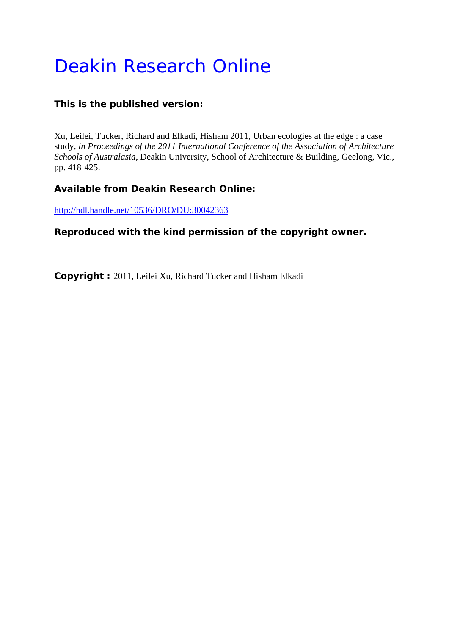# Deakin Research Online

# **This is the published version:**

Xu, Leilei, Tucker, Richard and Elkadi, Hisham 2011, Urban ecologies at the edge : a case study*, in Proceedings of the 2011 International Conference of the Association of Architecture Schools of Australasia*, Deakin University, School of Architecture & Building, Geelong, Vic., pp. 418-425.

# **Available from Deakin Research Online:**

http://hdl.handle.net/10536/DRO/DU:30042363

# **Reproduced with the kind permission of the copyright owner.**

**Copyright :** 2011, Leilei Xu, Richard Tucker and Hisham Elkadi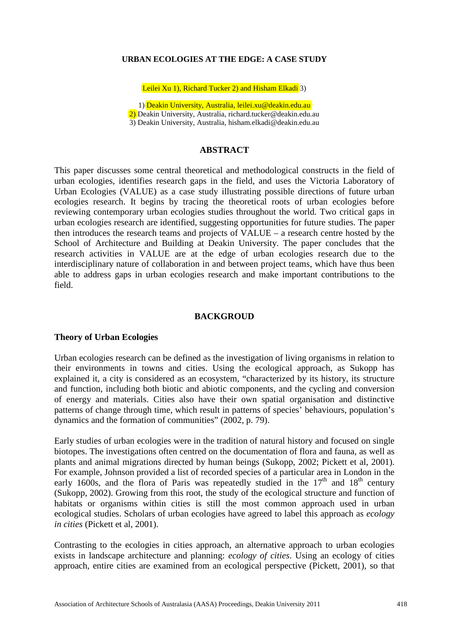#### **URBAN ECOLOGIES AT THE EDGE: A CASE STUDY**

Leilei Xu 1), Richard Tucker 2) and Hisham Elkadi 3)

1) Deakin University, Australia, leilei.xu@deakin.edu.au 2) Deakin University, Australia, richard.tucker@deakin.edu.au 3) Deakin University, Australia, hisham.elkadi@deakin.edu.au

#### **ABSTRACT**

This paper discusses some central theoretical and methodological constructs in the field of urban ecologies, identifies research gaps in the field, and uses the Victoria Laboratory of Urban Ecologies (VALUE) as a case study illustrating possible directions of future urban ecologies research. It begins by tracing the theoretical roots of urban ecologies before reviewing contemporary urban ecologies studies throughout the world. Two critical gaps in urban ecologies research are identified, suggesting opportunities for future studies. The paper then introduces the research teams and projects of VALUE – a research centre hosted by the School of Architecture and Building at Deakin University. The paper concludes that the research activities in VALUE are at the edge of urban ecologies research due to the interdisciplinary nature of collaboration in and between project teams, which have thus been able to address gaps in urban ecologies research and make important contributions to the field.

#### **BACKGROUD**

#### **Theory of Urban Ecologies**

Urban ecologies research can be defined as the investigation of living organisms in relation to their environments in towns and cities. Using the ecological approach, as Sukopp has explained it, a city is considered as an ecosystem, "characterized by its history, its structure and function, including both biotic and abiotic components, and the cycling and conversion of energy and materials. Cities also have their own spatial organisation and distinctive patterns of change through time, which result in patterns of species' behaviours, population's dynamics and the formation of communities" (2002, p. 79).

Early studies of urban ecologies were in the tradition of natural history and focused on single biotopes. The investigations often centred on the documentation of flora and fauna, as well as plants and animal migrations directed by human beings (Sukopp, 2002; Pickett et al, 2001). For example, Johnson provided a list of recorded species of a particular area in London in the early 1600s, and the flora of Paris was repeatedly studied in the  $17<sup>th</sup>$  and  $18<sup>th</sup>$  century (Sukopp, 2002). Growing from this root, the study of the ecological structure and function of habitats or organisms within cities is still the most common approach used in urban ecological studies. Scholars of urban ecologies have agreed to label this approach as *ecology in cities* (Pickett et al, 2001).

Contrasting to the ecologies in cities approach, an alternative approach to urban ecologies exists in landscape architecture and planning: *ecology of cities*. Using an ecology of cities approach, entire cities are examined from an ecological perspective (Pickett, 2001), so that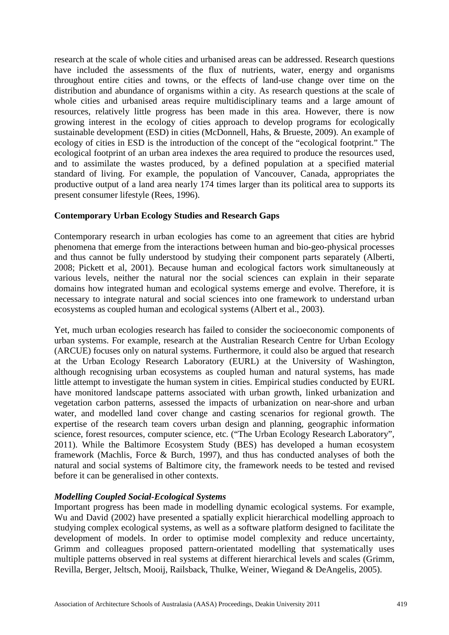research at the scale of whole cities and urbanised areas can be addressed. Research questions have included the assessments of the flux of nutrients, water, energy and organisms throughout entire cities and towns, or the effects of land-use change over time on the distribution and abundance of organisms within a city. As research questions at the scale of whole cities and urbanised areas require multidisciplinary teams and a large amount of resources, relatively little progress has been made in this area. However, there is now growing interest in the ecology of cities approach to develop programs for ecologically sustainable development (ESD) in cities (McDonnell, Hahs, & Brueste, 2009). An example of ecology of cities in ESD is the introduction of the concept of the "ecological footprint." The ecological footprint of an urban area indexes the area required to produce the resources used, and to assimilate the wastes produced, by a defined population at a specified material standard of living. For example, the population of Vancouver, Canada, appropriates the productive output of a land area nearly 174 times larger than its political area to supports its present consumer lifestyle (Rees, 1996).

## **Contemporary Urban Ecology Studies and Research Gaps**

Contemporary research in urban ecologies has come to an agreement that cities are hybrid phenomena that emerge from the interactions between human and bio-geo-physical processes and thus cannot be fully understood by studying their component parts separately (Alberti, 2008; Pickett et al, 2001). Because human and ecological factors work simultaneously at various levels, neither the natural nor the social sciences can explain in their separate domains how integrated human and ecological systems emerge and evolve. Therefore, it is necessary to integrate natural and social sciences into one framework to understand urban ecosystems as coupled human and ecological systems (Albert et al., 2003).

Yet, much urban ecologies research has failed to consider the socioeconomic components of urban systems. For example, research at the Australian Research Centre for Urban Ecology (ARCUE) focuses only on natural systems. Furthermore, it could also be argued that research at the Urban Ecology Research Laboratory (EURL) at the University of Washington, although recognising urban ecosystems as coupled human and natural systems, has made little attempt to investigate the human system in cities. Empirical studies conducted by EURL have monitored landscape patterns associated with urban growth, linked urbanization and vegetation carbon patterns, assessed the impacts of urbanization on near-shore and urban water, and modelled land cover change and casting scenarios for regional growth. The expertise of the research team covers urban design and planning, geographic information science, forest resources, computer science, etc. ("The Urban Ecology Research Laboratory", 2011). While the Baltimore Ecosystem Study (BES) has developed a human ecosystem framework (Machlis, Force & Burch, 1997), and thus has conducted analyses of both the natural and social systems of Baltimore city, the framework needs to be tested and revised before it can be generalised in other contexts.

## *Modelling Coupled Social-Ecological Systems*

Important progress has been made in modelling dynamic ecological systems. For example, Wu and David (2002) have presented a spatially explicit hierarchical modelling approach to studying complex ecological systems, as well as a software platform designed to facilitate the development of models. In order to optimise model complexity and reduce uncertainty, Grimm and colleagues proposed pattern-orientated modelling that systematically uses multiple patterns observed in real systems at different hierarchical levels and scales (Grimm, Revilla, Berger, Jeltsch, Mooij, Railsback, Thulke, Weiner, Wiegand & DeAngelis, 2005).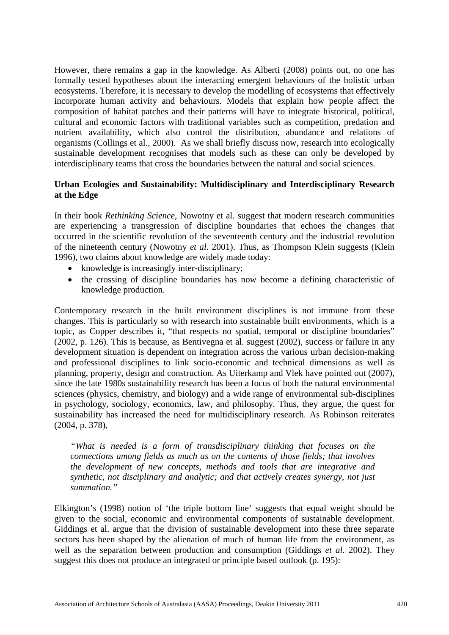However, there remains a gap in the knowledge. As Alberti (2008) points out, no one has formally tested hypotheses about the interacting emergent behaviours of the holistic urban ecosystems. Therefore, it is necessary to develop the modelling of ecosystems that effectively incorporate human activity and behaviours. Models that explain how people affect the composition of habitat patches and their patterns will have to integrate historical, political, cultural and economic factors with traditional variables such as competition, predation and nutrient availability, which also control the distribution, abundance and relations of organisms (Collings et al., 2000). As we shall briefly discuss now, research into ecologically sustainable development recognises that models such as these can only be developed by interdisciplinary teams that cross the boundaries between the natural and social sciences.

## **Urban Ecologies and Sustainability: Multidisciplinary and Interdisciplinary Research at the Edge**

In their book *Rethinking Science*, Nowotny et al. suggest that modern research communities are experiencing a transgression of discipline boundaries that echoes the changes that occurred in the scientific revolution of the seventeenth century and the industrial revolution of the nineteenth century (Nowotny *et al.* 2001). Thus, as Thompson Klein suggests (Klein 1996), two claims about knowledge are widely made today:

- knowledge is increasingly inter-disciplinary;
- the crossing of discipline boundaries has now become a defining characteristic of knowledge production.

Contemporary research in the built environment disciplines is not immune from these changes. This is particularly so with research into sustainable built environments, which is a topic, as Copper describes it, "that respects no spatial, temporal or discipline boundaries" (2002, p. 126). This is because, as Bentivegna et al. suggest (2002), success or failure in any development situation is dependent on integration across the various urban decision-making and professional disciplines to link socio-economic and technical dimensions as well as planning, property, design and construction. As Uiterkamp and Vlek have pointed out (2007), since the late 1980s sustainability research has been a focus of both the natural environmental sciences (physics, chemistry, and biology) and a wide range of environmental sub-disciplines in psychology, sociology, economics, law, and philosophy. Thus, they argue, the quest for sustainability has increased the need for multidisciplinary research. As Robinson reiterates (2004, p. 378),

*"What is needed is a form of transdisciplinary thinking that focuses on the connections among fields as much as on the contents of those fields; that involves the development of new concepts, methods and tools that are integrative and synthetic, not disciplinary and analytic; and that actively creates synergy, not just summation."*

Elkington's (1998) notion of 'the triple bottom line' suggests that equal weight should be given to the social, economic and environmental components of sustainable development. Giddings et al. argue that the division of sustainable development into these three separate sectors has been shaped by the alienation of much of human life from the environment, as well as the separation between production and consumption (Giddings *et al.* 2002). They suggest this does not produce an integrated or principle based outlook (p. 195):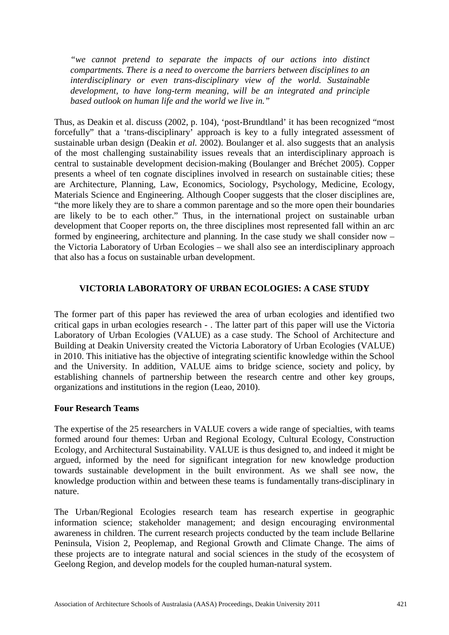*"we cannot pretend to separate the impacts of our actions into distinct compartments. There is a need to overcome the barriers between disciplines to an interdisciplinary or even trans-disciplinary view of the world. Sustainable development, to have long-term meaning, will be an integrated and principle based outlook on human life and the world we live in."*

Thus, as Deakin et al. discuss (2002, p. 104), 'post-Brundtland' it has been recognized "most forcefully" that a 'trans-disciplinary' approach is key to a fully integrated assessment of sustainable urban design (Deakin *et al.* 2002). Boulanger et al. also suggests that an analysis of the most challenging sustainability issues reveals that an interdisciplinary approach is central to sustainable development decision-making (Boulanger and Bréchet 2005). Copper presents a wheel of ten cognate disciplines involved in research on sustainable cities; these are Architecture, Planning, Law, Economics, Sociology, Psychology, Medicine, Ecology, Materials Science and Engineering. Although Cooper suggests that the closer disciplines are, "the more likely they are to share a common parentage and so the more open their boundaries are likely to be to each other." Thus, in the international project on sustainable urban development that Cooper reports on, the three disciplines most represented fall within an arc formed by engineering, architecture and planning. In the case study we shall consider now – the Victoria Laboratory of Urban Ecologies – we shall also see an interdisciplinary approach that also has a focus on sustainable urban development.

## **VICTORIA LABORATORY OF URBAN ECOLOGIES: A CASE STUDY**

The former part of this paper has reviewed the area of urban ecologies and identified two critical gaps in urban ecologies research - . The latter part of this paper will use the Victoria Laboratory of Urban Ecologies (VALUE) as a case study. The School of Architecture and Building at Deakin University created the Victoria Laboratory of Urban Ecologies (VALUE) in 2010. This initiative has the objective of integrating scientific knowledge within the School and the University. In addition, VALUE aims to bridge science, society and policy, by establishing channels of partnership between the research centre and other key groups, organizations and institutions in the region (Leao, 2010).

## **Four Research Teams**

The expertise of the 25 researchers in VALUE covers a wide range of specialties, with teams formed around four themes: Urban and Regional Ecology, Cultural Ecology, Construction Ecology, and Architectural Sustainability. VALUE is thus designed to, and indeed it might be argued, informed by the need for significant integration for new knowledge production towards sustainable development in the built environment. As we shall see now, the knowledge production within and between these teams is fundamentally trans-disciplinary in nature.

The Urban/Regional Ecologies research team has research expertise in geographic information science; stakeholder management; and design encouraging environmental awareness in children. The current research projects conducted by the team include Bellarine Peninsula, Vision 2, Peoplemap, and Regional Growth and Climate Change. The aims of these projects are to integrate natural and social sciences in the study of the ecosystem of Geelong Region, and develop models for the coupled human-natural system.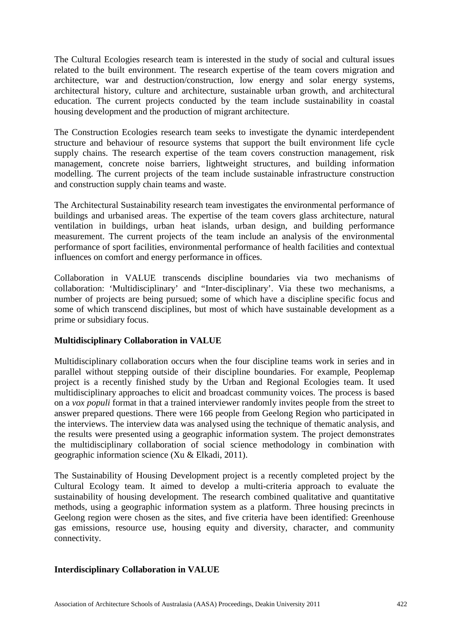The Cultural Ecologies research team is interested in the study of social and cultural issues related to the built environment. The research expertise of the team covers migration and architecture, war and destruction/construction, low energy and solar energy systems, architectural history, culture and architecture, sustainable urban growth, and architectural education. The current projects conducted by the team include sustainability in coastal housing development and the production of migrant architecture.

The Construction Ecologies research team seeks to investigate the dynamic interdependent structure and behaviour of resource systems that support the built environment life cycle supply chains. The research expertise of the team covers construction management, risk management, concrete noise barriers, lightweight structures, and building information modelling. The current projects of the team include sustainable infrastructure construction and construction supply chain teams and waste.

The Architectural Sustainability research team investigates the environmental performance of buildings and urbanised areas. The expertise of the team covers glass architecture, natural ventilation in buildings, urban heat islands, urban design, and building performance measurement. The current projects of the team include an analysis of the environmental performance of sport facilities, environmental performance of health facilities and contextual influences on comfort and energy performance in offices.

Collaboration in VALUE transcends discipline boundaries via two mechanisms of collaboration: 'Multidisciplinary' and "Inter-disciplinary'. Via these two mechanisms, a number of projects are being pursued; some of which have a discipline specific focus and some of which transcend disciplines, but most of which have sustainable development as a prime or subsidiary focus.

# **Multidisciplinary Collaboration in VALUE**

Multidisciplinary collaboration occurs when the four discipline teams work in series and in parallel without stepping outside of their discipline boundaries. For example, Peoplemap project is a recently finished study by the Urban and Regional Ecologies team. It used multidisciplinary approaches to elicit and broadcast community voices. The process is based on a *vox populi* format in that a trained interviewer randomly invites people from the street to answer prepared questions. There were 166 people from Geelong Region who participated in the interviews. The interview data was analysed using the technique of thematic analysis, and the results were presented using a geographic information system. The project demonstrates the multidisciplinary collaboration of social science methodology in combination with geographic information science (Xu & Elkadi, 2011).

The Sustainability of Housing Development project is a recently completed project by the Cultural Ecology team. It aimed to develop a multi-criteria approach to evaluate the sustainability of housing development. The research combined qualitative and quantitative methods, using a geographic information system as a platform. Three housing precincts in Geelong region were chosen as the sites, and five criteria have been identified: Greenhouse gas emissions, resource use, housing equity and diversity, character, and community connectivity.

## **Interdisciplinary Collaboration in VALUE**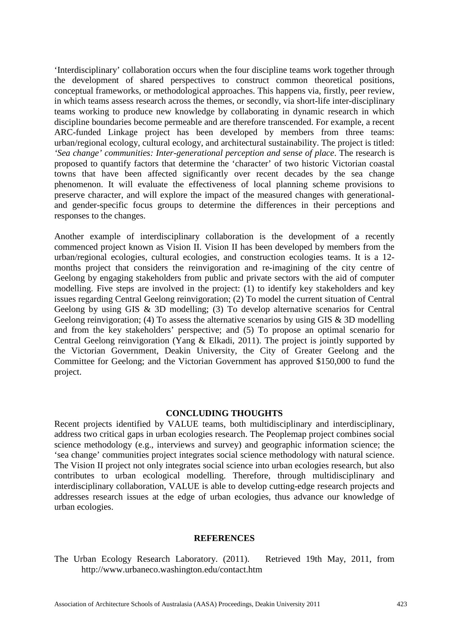'Interdisciplinary' collaboration occurs when the four discipline teams work together through the development of shared perspectives to construct common theoretical positions, conceptual frameworks, or methodological approaches. This happens via, firstly, peer review, in which teams assess research across the themes, or secondly, via short-life inter-disciplinary teams working to produce new knowledge by collaborating in dynamic research in which discipline boundaries become permeable and are therefore transcended. For example, a recent ARC-funded Linkage project has been developed by members from three teams: urban/regional ecology, cultural ecology, and architectural sustainability. The project is titled: *'Sea change' communities: Inter-generational perception and sense of place*. The research is proposed to quantify factors that determine the 'character' of two historic Victorian coastal towns that have been affected significantly over recent decades by the sea change phenomenon. It will evaluate the effectiveness of local planning scheme provisions to preserve character, and will explore the impact of the measured changes with generationaland gender-specific focus groups to determine the differences in their perceptions and responses to the changes.

Another example of interdisciplinary collaboration is the development of a recently commenced project known as Vision II. Vision II has been developed by members from the urban/regional ecologies, cultural ecologies, and construction ecologies teams. It is a 12 months project that considers the reinvigoration and re-imagining of the city centre of Geelong by engaging stakeholders from public and private sectors with the aid of computer modelling. Five steps are involved in the project: (1) to identify key stakeholders and key issues regarding Central Geelong reinvigoration; (2) To model the current situation of Central Geelong by using GIS & 3D modelling; (3) To develop alternative scenarios for Central Geelong reinvigoration; (4) To assess the alternative scenarios by using GIS & 3D modelling and from the key stakeholders' perspective; and (5) To propose an optimal scenario for Central Geelong reinvigoration (Yang & Elkadi, 2011). The project is jointly supported by the Victorian Government, Deakin University, the City of Greater Geelong and the Committee for Geelong; and the Victorian Government has approved \$150,000 to fund the project.

## **CONCLUDING THOUGHTS**

Recent projects identified by VALUE teams, both multidisciplinary and interdisciplinary, address two critical gaps in urban ecologies research. The Peoplemap project combines social science methodology (e.g., interviews and survey) and geographic information science; the 'sea change' communities project integrates social science methodology with natural science. The Vision II project not only integrates social science into urban ecologies research, but also contributes to urban ecological modelling. Therefore, through multidisciplinary and interdisciplinary collaboration, VALUE is able to develop cutting-edge research projects and addresses research issues at the edge of urban ecologies, thus advance our knowledge of urban ecologies.

#### **REFERENCES**

The Urban Ecology Research Laboratory. (2011). Retrieved 19th May, 2011, from http://www.urbaneco.washington.edu/contact.htm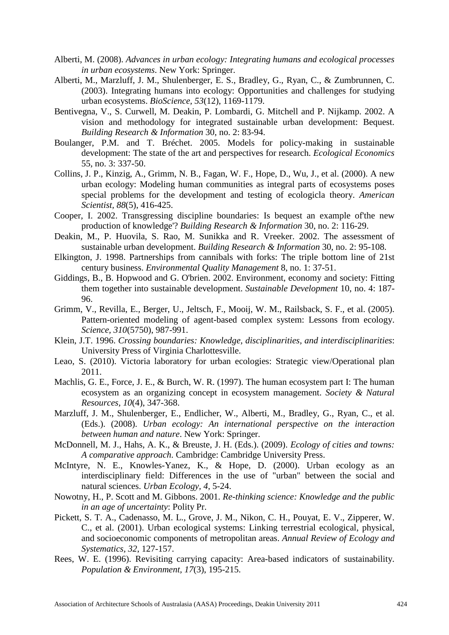- Alberti, M. (2008). *Advances in urban ecology: Integrating humans and ecological processes in urban ecosystems*. New York: Springer.
- Alberti, M., Marzluff, J. M., Shulenberger, E. S., Bradley, G., Ryan, C., & Zumbrunnen, C. (2003). Integrating humans into ecology: Opportunities and challenges for studying urban ecosystems. *BioScience, 53*(12), 1169-1179.
- Bentivegna, V., S. Curwell, M. Deakin, P. Lombardi, G. Mitchell and P. Nijkamp. 2002. A vision and methodology for integrated sustainable urban development: Bequest. *Building Research & Information* 30, no. 2: 83-94.
- Boulanger, P.M. and T. Bréchet. 2005. Models for policy-making in sustainable development: The state of the art and perspectives for research. *Ecological Economics*  55, no. 3: 337-50.
- Collins, J. P., Kinzig, A., Grimm, N. B., Fagan, W. F., Hope, D., Wu, J., et al. (2000). A new urban ecology: Modeling human communities as integral parts of ecosystems poses special problems for the development and testing of ecologicla theory. *American Scientist, 88*(5), 416-425.
- Cooper, I. 2002. Transgressing discipline boundaries: Is bequest an example of'the new production of knowledge'? *Building Research & Information* 30, no. 2: 116-29.
- Deakin, M., P. Huovila, S. Rao, M. Sunikka and R. Vreeker. 2002. The assessment of sustainable urban development. *Building Research & Information* 30, no. 2: 95-108.
- Elkington, J. 1998. Partnerships from cannibals with forks: The triple bottom line of 21st century business. *Environmental Quality Management* 8, no. 1: 37-51.
- Giddings, B., B. Hopwood and G. O'brien. 2002. Environment, economy and society: Fitting them together into sustainable development. *Sustainable Development* 10, no. 4: 187- 96.
- Grimm, V., Revilla, E., Berger, U., Jeltsch, F., Mooij, W. M., Railsback, S. F., et al. (2005). Pattern-oriented modeling of agent-based complex system: Lessons from ecology. *Science, 310*(5750), 987-991.
- Klein, J.T. 1996. *Crossing boundaries: Knowledge, disciplinarities, and interdisciplinarities*: University Press of Virginia Charlottesville.
- Leao, S. (2010). Victoria laboratory for urban ecologies: Strategic view/Operational plan 2011.
- Machlis, G. E., Force, J. E., & Burch, W. R. (1997). The human ecosystem part I: The human ecosystem as an organizing concept in ecosystem management. *Society & Natural Resources, 10*(4), 347-368.
- Marzluff, J. M., Shulenberger, E., Endlicher, W., Alberti, M., Bradley, G., Ryan, C., et al. (Eds.). (2008). *Urban ecology: An international perspective on the interaction between human and nature*. New York: Springer.
- McDonnell, M. J., Hahs, A. K., & Breuste, J. H. (Eds.). (2009). *Ecology of cities and towns: A comparative approach*. Cambridge: Cambridge University Press.
- McIntyre, N. E., Knowles-Yanez, K., & Hope, D. (2000). Urban ecology as an interdisciplinary field: Differences in the use of "urban" between the social and natural sciences. *Urban Ecology, 4*, 5-24.
- Nowotny, H., P. Scott and M. Gibbons. 2001. *Re-thinking science: Knowledge and the public in an age of uncertainty*: Polity Pr.
- Pickett, S. T. A., Cadenasso, M. L., Grove, J. M., Nikon, C. H., Pouyat, E. V., Zipperer, W. C., et al. (2001). Urban ecological systems: Linking terrestrial ecological, physical, and socioeconomic components of metropolitan areas. *Annual Review of Ecology and Systematics, 32*, 127-157.
- Rees, W. E. (1996). Revisiting carrying capacity: Area-based indicators of sustainability. *Population & Environment, 17*(3), 195-215.